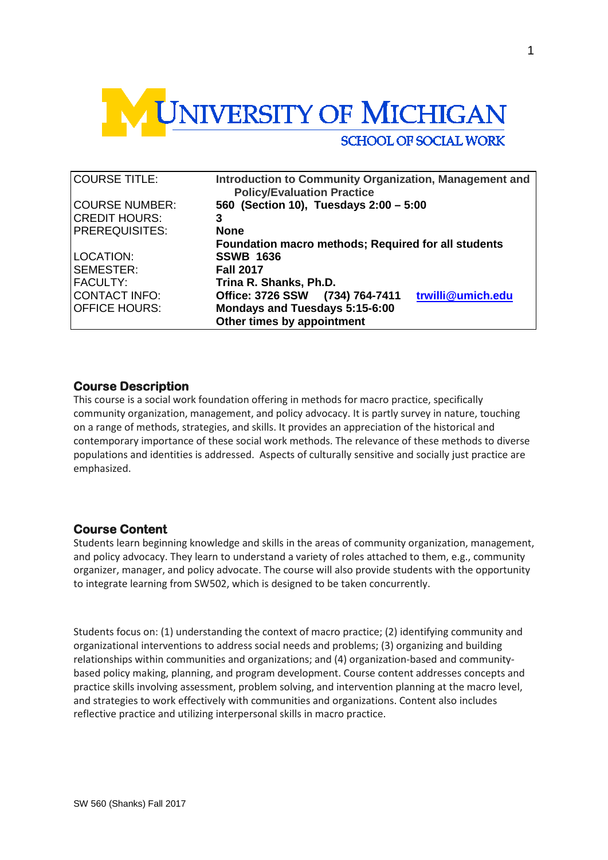

| <b>COURSE TITLE:</b>  | Introduction to Community Organization, Management and<br><b>Policy/Evaluation Practice</b> |  |  |  |  |  |
|-----------------------|---------------------------------------------------------------------------------------------|--|--|--|--|--|
| <b>COURSE NUMBER:</b> | 560 (Section 10), Tuesdays 2:00 - 5:00                                                      |  |  |  |  |  |
| <b>CREDIT HOURS:</b>  | 3                                                                                           |  |  |  |  |  |
| <b>PREREQUISITES:</b> | <b>None</b>                                                                                 |  |  |  |  |  |
|                       | Foundation macro methods; Required for all students                                         |  |  |  |  |  |
| LOCATION:             | <b>SSWB 1636</b>                                                                            |  |  |  |  |  |
| SEMESTER:             | <b>Fall 2017</b>                                                                            |  |  |  |  |  |
| <b>FACULTY:</b>       | Trina R. Shanks, Ph.D.                                                                      |  |  |  |  |  |
| <b>CONTACT INFO:</b>  | trwilli@umich.edu<br>Office: 3726 SSW<br>(734) 764-7411                                     |  |  |  |  |  |
| <b>OFFICE HOURS:</b>  | Mondays and Tuesdays 5:15-6:00                                                              |  |  |  |  |  |
|                       | Other times by appointment                                                                  |  |  |  |  |  |

# **Course Description**

This course is a social work foundation offering in methods for macro practice, specifically community organization, management, and policy advocacy. It is partly survey in nature, touching on a range of methods, strategies, and skills. It provides an appreciation of the historical and contemporary importance of these social work methods. The relevance of these methods to diverse populations and identities is addressed. Aspects of culturally sensitive and socially just practice are emphasized.

#### **Course Content**

Students learn beginning knowledge and skills in the areas of community organization, management, and policy advocacy. They learn to understand a variety of roles attached to them, e.g., community organizer, manager, and policy advocate. The course will also provide students with the opportunity to integrate learning from SW502, which is designed to be taken concurrently.

Students focus on: (1) understanding the context of macro practice; (2) identifying community and organizational interventions to address social needs and problems; (3) organizing and building relationships within communities and organizations; and (4) organization-based and communitybased policy making, planning, and program development. Course content addresses concepts and practice skills involving assessment, problem solving, and intervention planning at the macro level, and strategies to work effectively with communities and organizations. Content also includes reflective practice and utilizing interpersonal skills in macro practice.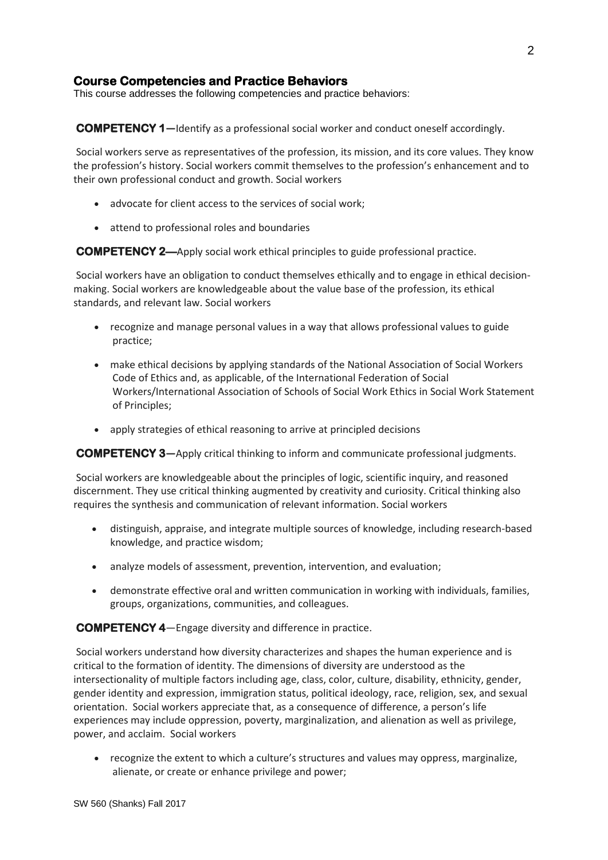# **Course Competencies and Practice Behaviors**

This course addresses the following competencies and practice behaviors:

**COMPETENCY 1—**Identify as a professional social worker and conduct oneself accordingly.

Social workers serve as representatives of the profession, its mission, and its core values. They know the profession's history. Social workers commit themselves to the profession's enhancement and to their own professional conduct and growth. Social workers

- advocate for client access to the services of social work;
- attend to professional roles and boundaries

**COMPETENCY 2—**Apply social work ethical principles to guide professional practice.

Social workers have an obligation to conduct themselves ethically and to engage in ethical decisionmaking. Social workers are knowledgeable about the value base of the profession, its ethical standards, and relevant law. Social workers

- recognize and manage personal values in a way that allows professional values to guide practice;
- make ethical decisions by applying standards of the National Association of Social Workers Code of Ethics and, as applicable, of the International Federation of Social Workers/International Association of Schools of Social Work Ethics in Social Work Statement of Principles;
- apply strategies of ethical reasoning to arrive at principled decisions

**COMPETENCY 3—**Apply critical thinking to inform and communicate professional judgments.

Social workers are knowledgeable about the principles of logic, scientific inquiry, and reasoned discernment. They use critical thinking augmented by creativity and curiosity. Critical thinking also requires the synthesis and communication of relevant information. Social workers

- distinguish, appraise, and integrate multiple sources of knowledge, including research-based knowledge, and practice wisdom;
- analyze models of assessment, prevention, intervention, and evaluation;
- demonstrate effective oral and written communication in working with individuals, families, groups, organizations, communities, and colleagues.

**COMPETENCY 4**—Engage diversity and difference in practice.

Social workers understand how diversity characterizes and shapes the human experience and is critical to the formation of identity. The dimensions of diversity are understood as the intersectionality of multiple factors including age, class, color, culture, disability, ethnicity, gender, gender identity and expression, immigration status, political ideology, race, religion, sex, and sexual orientation. Social workers appreciate that, as a consequence of difference, a person's life experiences may include oppression, poverty, marginalization, and alienation as well as privilege, power, and acclaim. Social workers

• recognize the extent to which a culture's structures and values may oppress, marginalize, alienate, or create or enhance privilege and power;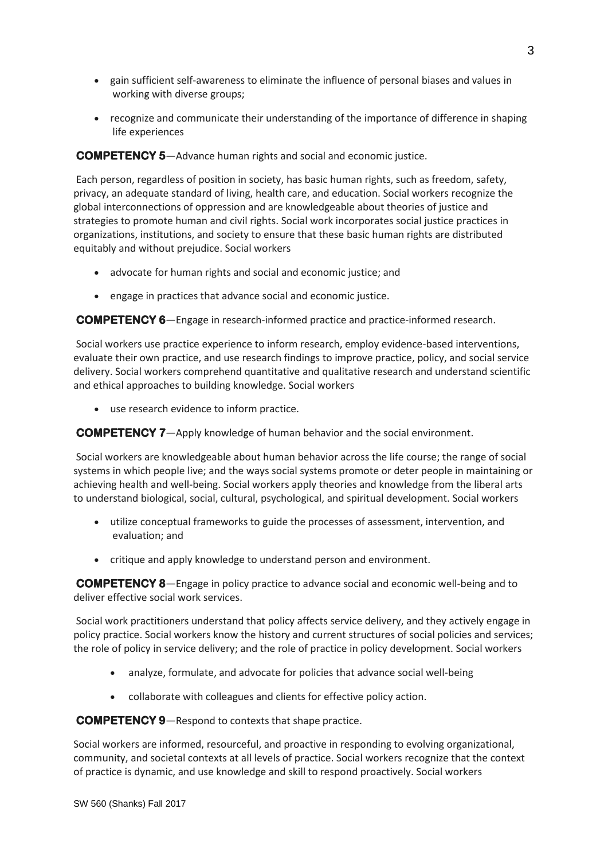- gain sufficient self-awareness to eliminate the influence of personal biases and values in working with diverse groups;
- recognize and communicate their understanding of the importance of difference in shaping life experiences

**COMPETENCY 5**—Advance human rights and social and economic justice.

Each person, regardless of position in society, has basic human rights, such as freedom, safety, privacy, an adequate standard of living, health care, and education. Social workers recognize the global interconnections of oppression and are knowledgeable about theories of justice and strategies to promote human and civil rights. Social work incorporates social justice practices in organizations, institutions, and society to ensure that these basic human rights are distributed equitably and without prejudice. Social workers

- advocate for human rights and social and economic justice; and
- engage in practices that advance social and economic justice.

**COMPETENCY 6**—Engage in research-informed practice and practice-informed research.

Social workers use practice experience to inform research, employ evidence-based interventions, evaluate their own practice, and use research findings to improve practice, policy, and social service delivery. Social workers comprehend quantitative and qualitative research and understand scientific and ethical approaches to building knowledge. Social workers

• use research evidence to inform practice.

**COMPETENCY 7**—Apply knowledge of human behavior and the social environment.

Social workers are knowledgeable about human behavior across the life course; the range of social systems in which people live; and the ways social systems promote or deter people in maintaining or achieving health and well-being. Social workers apply theories and knowledge from the liberal arts to understand biological, social, cultural, psychological, and spiritual development. Social workers

- utilize conceptual frameworks to guide the processes of assessment, intervention, and evaluation; and
- critique and apply knowledge to understand person and environment.

**COMPETENCY 8**—Engage in policy practice to advance social and economic well-being and to deliver effective social work services.

Social work practitioners understand that policy affects service delivery, and they actively engage in policy practice. Social workers know the history and current structures of social policies and services; the role of policy in service delivery; and the role of practice in policy development. Social workers

- analyze, formulate, and advocate for policies that advance social well-being
- collaborate with colleagues and clients for effective policy action.

**COMPETENCY 9**—Respond to contexts that shape practice.

Social workers are informed, resourceful, and proactive in responding to evolving organizational, community, and societal contexts at all levels of practice. Social workers recognize that the context of practice is dynamic, and use knowledge and skill to respond proactively. Social workers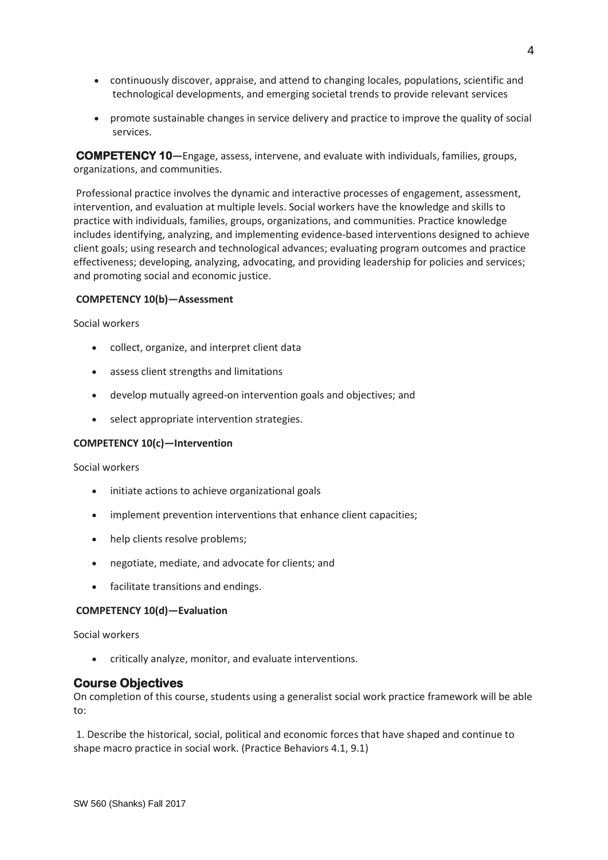- continuously discover, appraise, and attend to changing locales, populations, scientific and technological developments, and emerging societal trends to provide relevant services
- promote sustainable changes in service delivery and practice to improve the quality of social services.

**COMPETENCY 10—**Engage, assess, intervene, and evaluate with individuals, families, groups, organizations, and communities.

Professional practice involves the dynamic and interactive processes of engagement, assessment, intervention, and evaluation at multiple levels. Social workers have the knowledge and skills to practice with individuals, families, groups, organizations, and communities. Practice knowledge includes identifying, analyzing, and implementing evidence-based interventions designed to achieve client goals; using research and technological advances; evaluating program outcomes and practice effectiveness; developing, analyzing, advocating, and providing leadership for policies and services; and promoting social and economic justice.

#### **COMPETENCY 10(b)—Assessment**

Social workers

- collect, organize, and interpret client data
- assess client strengths and limitations
- develop mutually agreed-on intervention goals and objectives; and
- select appropriate intervention strategies.

#### **COMPETENCY 10(c)—Intervention**

Social workers

- initiate actions to achieve organizational goals
- implement prevention interventions that enhance client capacities;
- help clients resolve problems;
- negotiate, mediate, and advocate for clients; and
- facilitate transitions and endings.

#### **COMPETENCY 10(d)—Evaluation**

Social workers

• critically analyze, monitor, and evaluate interventions.

#### **Course Objectives**

On completion of this course, students using a generalist social work practice framework will be able to:

1. Describe the historical, social, political and economic forces that have shaped and continue to shape macro practice in social work. (Practice Behaviors 4.1, 9.1)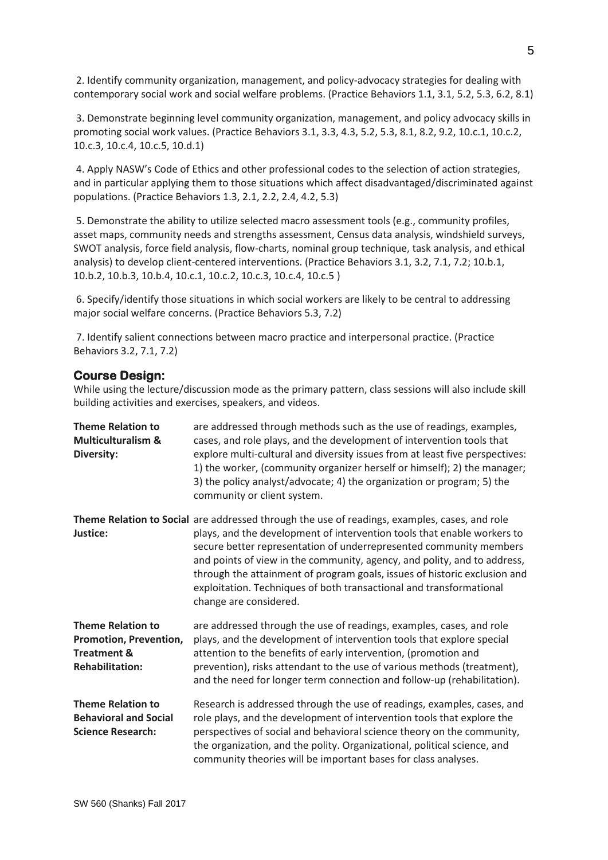2. Identify community organization, management, and policy-advocacy strategies for dealing with contemporary social work and social welfare problems. (Practice Behaviors 1.1, 3.1, 5.2, 5.3, 6.2, 8.1)

3. Demonstrate beginning level community organization, management, and policy advocacy skills in promoting social work values. (Practice Behaviors 3.1, 3.3, 4.3, 5.2, 5.3, 8.1, 8.2, 9.2, 10.c.1, 10.c.2, 10.c.3, 10.c.4, 10.c.5, 10.d.1)

4. Apply NASW's Code of Ethics and other professional codes to the selection of action strategies, and in particular applying them to those situations which affect disadvantaged/discriminated against populations. (Practice Behaviors 1.3, 2.1, 2.2, 2.4, 4.2, 5.3)

5. Demonstrate the ability to utilize selected macro assessment tools (e.g., community profiles, asset maps, community needs and strengths assessment, Census data analysis, windshield surveys, SWOT analysis, force field analysis, flow-charts, nominal group technique, task analysis, and ethical analysis) to develop client-centered interventions. (Practice Behaviors 3.1, 3.2, 7.1, 7.2; 10.b.1, 10.b.2, 10.b.3, 10.b.4, 10.c.1, 10.c.2, 10.c.3, 10.c.4, 10.c.5 )

6. Specify/identify those situations in which social workers are likely to be central to addressing major social welfare concerns. (Practice Behaviors 5.3, 7.2)

7. Identify salient connections between macro practice and interpersonal practice. (Practice Behaviors 3.2, 7.1, 7.2)

# **Course Design:**

While using the lecture/discussion mode as the primary pattern, class sessions will also include skill building activities and exercises, speakers, and videos.

| <b>Theme Relation to</b><br><b>Multiculturalism &amp;</b><br>Diversity:                                | are addressed through methods such as the use of readings, examples,<br>cases, and role plays, and the development of intervention tools that<br>explore multi-cultural and diversity issues from at least five perspectives:<br>1) the worker, (community organizer herself or himself); 2) the manager;<br>3) the policy analyst/advocate; 4) the organization or program; 5) the<br>community or client system.                                                                                       |
|--------------------------------------------------------------------------------------------------------|----------------------------------------------------------------------------------------------------------------------------------------------------------------------------------------------------------------------------------------------------------------------------------------------------------------------------------------------------------------------------------------------------------------------------------------------------------------------------------------------------------|
| Justice:                                                                                               | Theme Relation to Social are addressed through the use of readings, examples, cases, and role<br>plays, and the development of intervention tools that enable workers to<br>secure better representation of underrepresented community members<br>and points of view in the community, agency, and polity, and to address,<br>through the attainment of program goals, issues of historic exclusion and<br>exploitation. Techniques of both transactional and transformational<br>change are considered. |
| <b>Theme Relation to</b><br>Promotion, Prevention,<br><b>Treatment &amp;</b><br><b>Rehabilitation:</b> | are addressed through the use of readings, examples, cases, and role<br>plays, and the development of intervention tools that explore special<br>attention to the benefits of early intervention, (promotion and<br>prevention), risks attendant to the use of various methods (treatment),<br>and the need for longer term connection and follow-up (rehabilitation).                                                                                                                                   |
| <b>Theme Relation to</b><br><b>Behavioral and Social</b><br><b>Science Research:</b>                   | Research is addressed through the use of readings, examples, cases, and<br>role plays, and the development of intervention tools that explore the<br>perspectives of social and behavioral science theory on the community,<br>the organization, and the polity. Organizational, political science, and<br>community theories will be important bases for class analyses.                                                                                                                                |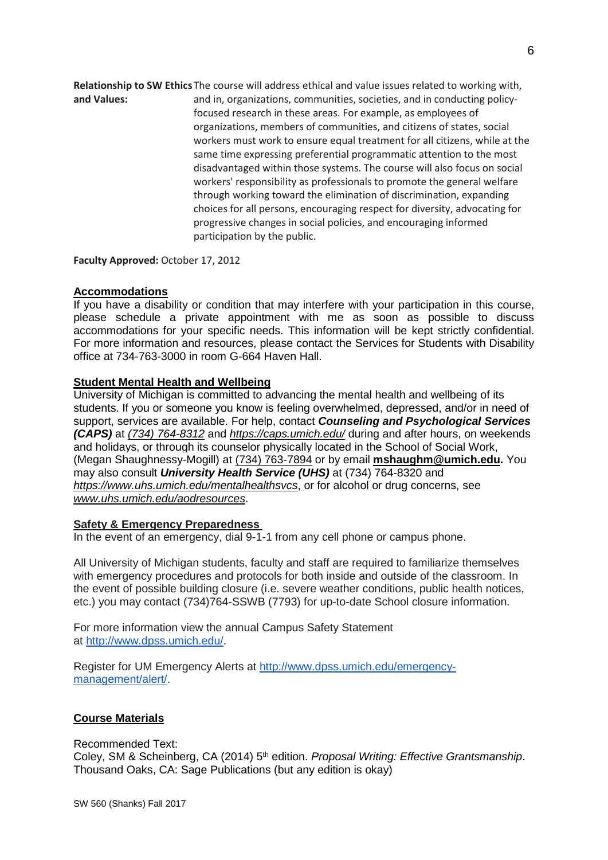Relationship to SW Ethics The course will address ethical and value issues related to working with, **and Values:** and in, organizations, communities, societies, and in conducting policyfocused research in these areas. For example, as employees of organizations, members of communities, and citizens of states, social workers must work to ensure equal treatment for all citizens, while at the same time expressing preferential programmatic attention to the most disadvantaged within those systems. The course will also focus on social workers' responsibility as professionals to promote the general welfare through working toward the elimination of discrimination, expanding choices for all persons, encouraging respect for diversity, advocating for progressive changes in social policies, and encouraging informed participation by the public.

**Faculty Approved:** October 17, 2012

# **Accommodations**

If you have a disability or condition that may interfere with your participation in this course, please schedule a private appointment with me as soon as possible to discuss accommodations for your specific needs. This information will be kept strictly confidential. For more information and resources, please contact the Services for Students with Disability office at 734-763-3000 in room G-664 Haven Hall.

# **Student Mental Health and Wellbeing**

University of Michigan is committed to advancing the mental health and wellbeing of its students. If you or someone you know is feeling overwhelmed, depressed, and/or in need of support, services are available. For help, contact *Counseling and Psychological Services (CAPS)* at *[\(734\) 764-8312](tel:%28734%29%20764-8312)* and *[https://caps.umich.edu/](http://click.actionnetwork.org/mpss/c/6QA/ni0YAA/t.1sr/1XmDlirLSRy_10hmMBXGig/h0/jbPE8mifOYh9ZTFY4-2F4ex1AMj27YruYwCuFs-2FGEWlDkJBrUWruTFLccdvUjy0vPoz7TIt5UYalwpJeNFW9ye-2BIp5R3md2SU3JYbg-2FdmJuuWvNJvBFbq1xeTIrHHOJB3X3bufiiUOWLL9ZHqr2zq4QM4Ma8dKHgWdNSwROmBvgY0PcvJ5urLlWH857M6ljJh5bBKLgGN4OZ8qZ7ZFkB9h761J7T0Qzyr0DoA3rqZETQE0TyQX4mp0bGEmzFhyYa8nFwXwOSW-2BusxFVrfAneO1Qw-3D-3D)* during and after hours, on weekends and holidays, or through its counselor physically located in the School of Social Work, (Megan Shaughnessy-Mogill) at [\(734\) 763-7894](tel:(734)%20763-7894) or by email **[mshaughm@umich.edu.](mailto:mshaughm@umich.edu)** You may also consult *University Health Service (UHS)* at (734) 764-8320 and *[https://www.uhs.umich.edu/mentalhealthsvcs](http://click.actionnetwork.org/mpss/c/6QA/ni0YAA/t.1sr/1XmDlirLSRy_10hmMBXGig/h1/36Gq4-2F3niUnzPyyRf-2BAOrtZp9EUXw4VV93TeV2pngezLaxone85BdNKXn1g2Jx-2FuLbxguPJoRbLrmKMTu5lHlJKwMYjs6fAxXOISO2fsyF6-2BoxQoXHPVy3G0xVvONVrq7xLVbBZIkCzVf0lVl3vJ-2FTq-2B-2B84YqfMV8-2FwzqnFfNZaUUowypesNiEkC3YuMvS3naLARXEaHj60APoYb-2FGvFTFKfzO1UE8uXprEtwY5ygxcVxnYHPFRwdW54rgLJfXLWQGeD1NgqbF7MGU5ue1upLrSkmo0BUuI7h38KoR7Nn5c-3D)*, or for alcohol or drug concerns, see *[www.uhs.umich.edu/aodresources](http://click.actionnetwork.org/mpss/c/6QA/ni0YAA/t.1sr/1XmDlirLSRy_10hmMBXGig/h2/oP32kiuHXvNwJ-2BGou1c-2F3FQapQ5bx-2FfCisCI31j2zY1Kl-2F0BglKFayy-2FeehPLu2WVKKMSh-2FvjcCHoE0aG-2B9PEgArEqYHyMB9DPHKPQiuaiFMjrx1evAp2FnciSDUTNzP1hea3oZD45D-2BnxFSfQqt0j-2BbLhbolWNIuUbKonXT7Ww1TRAM9tTJ0D7HRk-2Fng0Hj-2FUwz3yLyneEOGHKA1zd5mBLaKbHXo9DRisUlgkm34D6QCIbYsa8hV66Mq30kShylQANPRuYp4WHw5l-2F-2FGdFTQS3WK-2F6z-2Bh1khKI-2BNSyR5WM-3D)*.

# **Safety & Emergency Preparedness**

In the event of an emergency, dial 9-1-1 from any cell phone or campus phone.

All University of Michigan students, faculty and staff are required to familiarize themselves with emergency procedures and protocols for both inside and outside of the classroom. In the event of possible building closure (i.e. severe weather conditions, public health notices, etc.) you may contact (734)764-SSWB (7793) for up-to-date School closure information.

For more information view the annual Campus Safety Statement at [http://www.dpss.umich.edu/.](http://www.dpss.umich.edu/)

Register for UM Emergency Alerts at [http://www.dpss.umich.edu/emergency](http://www.dpss.umich.edu/emergency-management/alert/)[management/alert/.](http://www.dpss.umich.edu/emergency-management/alert/)

#### **Course Materials**

Recommended Text:

Coley, SM & Scheinberg, CA (2014) 5th edition. *Proposal Writing: Effective Grantsmanship*. Thousand Oaks, CA: Sage Publications (but any edition is okay)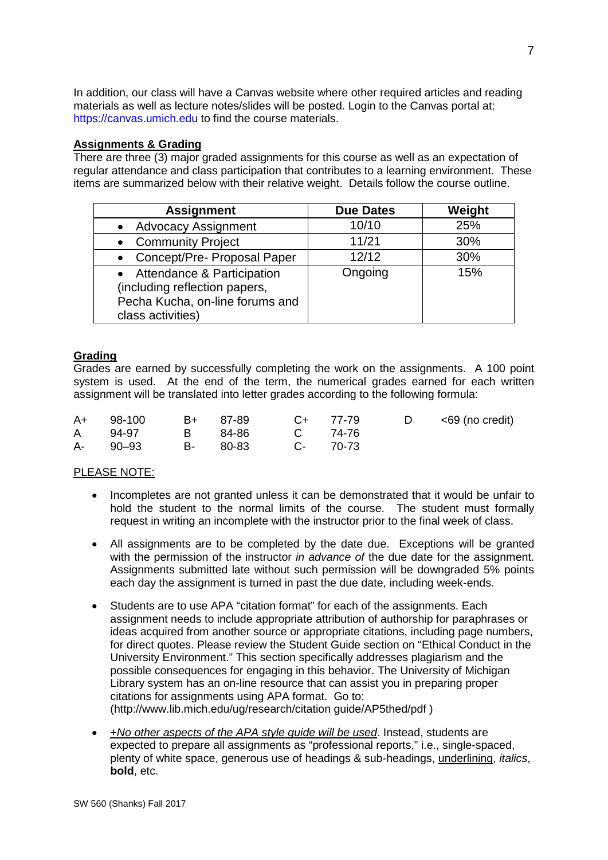In addition, our class will have a Canvas website where other required articles and reading materials as well as lecture notes/slides will be posted. Login to the Canvas portal at: https://canvas.umich.edu to find the course materials.

# **Assignments & Grading**

There are three (3) major graded assignments for this course as well as an expectation of regular attendance and class participation that contributes to a learning environment. These items are summarized below with their relative weight. Details follow the course outline.

| <b>Assignment</b>                                                                                                     | <b>Due Dates</b> | Weight |
|-----------------------------------------------------------------------------------------------------------------------|------------------|--------|
| <b>Advocacy Assignment</b><br>$\bullet$                                                                               | 10/10            | 25%    |
| • Community Project                                                                                                   | 11/21            | 30%    |
| • Concept/Pre- Proposal Paper                                                                                         | 12/12            | 30%    |
| • Attendance & Participation<br>(including reflection papers,<br>Pecha Kucha, on-line forums and<br>class activities) | Ongoing          | 15%    |

# **Grading**

Grades are earned by successfully completing the work on the assignments. A 100 point system is used. At the end of the term, the numerical grades earned for each written assignment will be translated into letter grades according to the following formula:

|                            |  |  | A+ 98-100 B+ 87-89 C+ 77-79 D <69 (no credit) |
|----------------------------|--|--|-----------------------------------------------|
| A 94-97 B 84-86 C 74-76    |  |  |                                               |
| A- 90–93 B- 80-83 C- 70-73 |  |  |                                               |

# PLEASE NOTE:

- Incompletes are not granted unless it can be demonstrated that it would be unfair to hold the student to the normal limits of the course. The student must formally request in writing an incomplete with the instructor prior to the final week of class.
- All assignments are to be completed by the date due. Exceptions will be granted with the permission of the instructor *in advance of* the due date for the assignment. Assignments submitted late without such permission will be downgraded 5% points each day the assignment is turned in past the due date, including week-ends.
- Students are to use APA "citation format" for each of the assignments. Each assignment needs to include appropriate attribution of authorship for paraphrases or ideas acquired from another source or appropriate citations, including page numbers, for direct quotes. Please review the Student Guide section on "Ethical Conduct in the University Environment." This section specifically addresses plagiarism and the possible consequences for engaging in this behavior. The University of Michigan Library system has an on-line resource that can assist you in preparing proper citations for assignments using APA format. Go to: (http://www.lib.mich.edu/ug/research/citation guide/AP5thed/pdf )
- *+No other aspects of the APA style guide will be used*. Instead, students are expected to prepare all assignments as "professional reports," i.e., single-spaced, plenty of white space, generous use of headings & sub-headings, underlining, *italics*, **bold**, etc.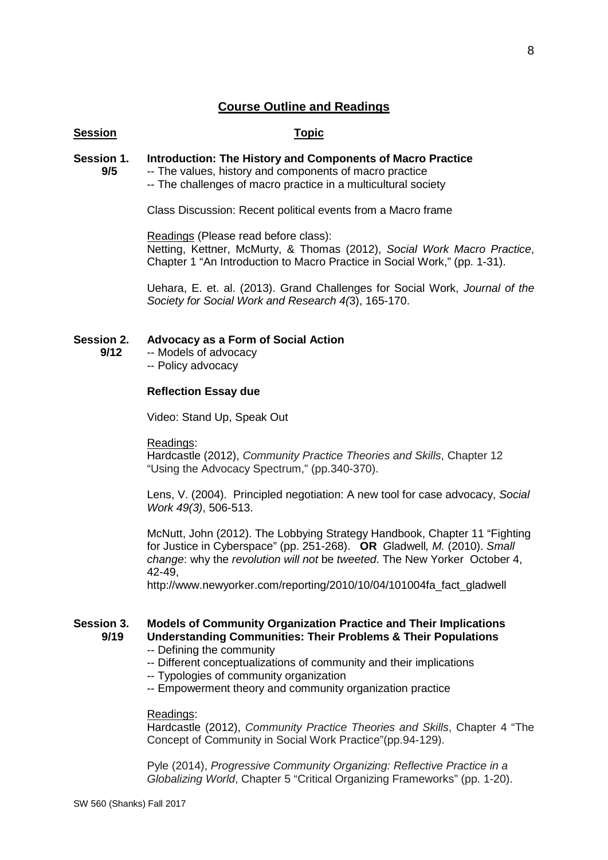### **Course Outline and Readings**

#### **Session Topic**

# **Session 1. Introduction: The History and Components of Macro Practice**

 **9/5** -- The values, history and components of macro practice

-- The challenges of macro practice in a multicultural society

Class Discussion: Recent political events from a Macro frame

Readings (Please read before class):

Netting, Kettner, McMurty, & Thomas (2012), *Social Work Macro Practice*, Chapter 1 "An Introduction to Macro Practice in Social Work," (pp. 1-31).

Uehara, E. et. al. (2013). Grand Challenges for Social Work, *Journal of the Society for Social Work and Research 4(*3), 165-170.

# **Session 2. Advocacy as a Form of Social Action**<br>9/12 -- Models of advocacy

 **9/12** -- Models of advocacy -- Policy advocacy

#### **Reflection Essay due**

Video: Stand Up, Speak Out

Readings:

Hardcastle (2012), *Community Practice Theories and Skills*, Chapter 12 "Using the Advocacy Spectrum," (pp.340-370).

Lens, V. (2004). Principled negotiation: A new tool for case advocacy, *Social Work 49(3)*, 506-513.

McNutt, John (2012). The Lobbying Strategy Handbook, Chapter 11 "Fighting for Justice in Cyberspace" (pp. 251-268). **OR** *G*ladwell*, M.* (2010). *Small change*: why the *revolution will not* be *tweeted*. The New Yorker October 4, 42-49,

[http://www.newyorker.com/reporting/2010/10/04/101004fa\\_fact\\_gladwell](http://www.newyorker.com/reporting/2010/10/04/101004fa_fact_gladwell)

# **Session 3. Models of Community Organization Practice and Their Implications 9/19 Understanding Communities: Their Problems & Their Populations**

- -- Defining the community
- -- Different conceptualizations of community and their implications
- -- Typologies of community organization
- -- Empowerment theory and community organization practice

#### Readings:

Hardcastle (2012), *Community Practice Theories and Skills*, Chapter 4 "The Concept of Community in Social Work Practice"(pp.94-129).

Pyle (2014), *Progressive Community Organizing: Reflective Practice in a Globalizing World*, Chapter 5 "Critical Organizing Frameworks" (pp. 1-20).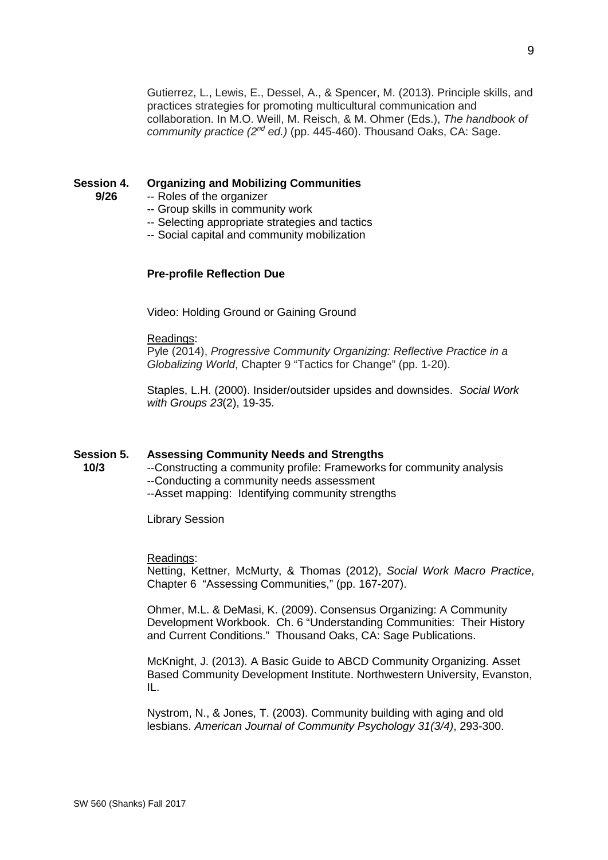Gutierrez, L., Lewis, E., Dessel, A., & Spencer, M. (2013). Principle skills, and practices strategies for promoting multicultural communication and collaboration. In M.O. Weill, M. Reisch, & M. Ohmer (Eds.), *The handbook of community practice (2nd ed.)* (pp. 445-460). Thousand Oaks, CA: Sage.

# **Session 4. Organizing and Mobilizing Communities**<br>9/26 -- Roles of the organizer

- **9/26** -- Roles of the organizer
	- -- Group skills in community work
	- -- Selecting appropriate strategies and tactics
	- -- Social capital and community mobilization

#### **Pre-profile Reflection Due**

Video: Holding Ground or Gaining Ground

Readings:

Pyle (2014), *Progressive Community Organizing: Reflective Practice in a Globalizing World*, Chapter 9 "Tactics for Change" (pp. 1-20).

Staples, L.H. (2000). Insider/outsider upsides and downsides. *Social Work with Groups 23*(2), 19-35.

#### **Session 5. Assessing Community Needs and Strengths**

 **10/3** --Constructing a community profile: Frameworks for community analysis --Conducting a community needs assessment

--Asset mapping: Identifying community strengths

Library Session

Readings:

Netting, Kettner, McMurty, & Thomas (2012), *Social Work Macro Practice*, Chapter 6 "Assessing Communities," (pp. 167-207).

Ohmer, M.L. & DeMasi, K. (2009). Consensus Organizing: A Community Development Workbook. Ch. 6 "Understanding Communities: Their History and Current Conditions." Thousand Oaks, CA: Sage Publications.

McKnight, J. (2013). A Basic Guide to ABCD Community Organizing. Asset Based Community Development Institute. Northwestern University, Evanston, IL.

Nystrom, N., & Jones, T. (2003). Community building with aging and old lesbians. *American Journal of Community Psychology 31(3/4)*, 293-300.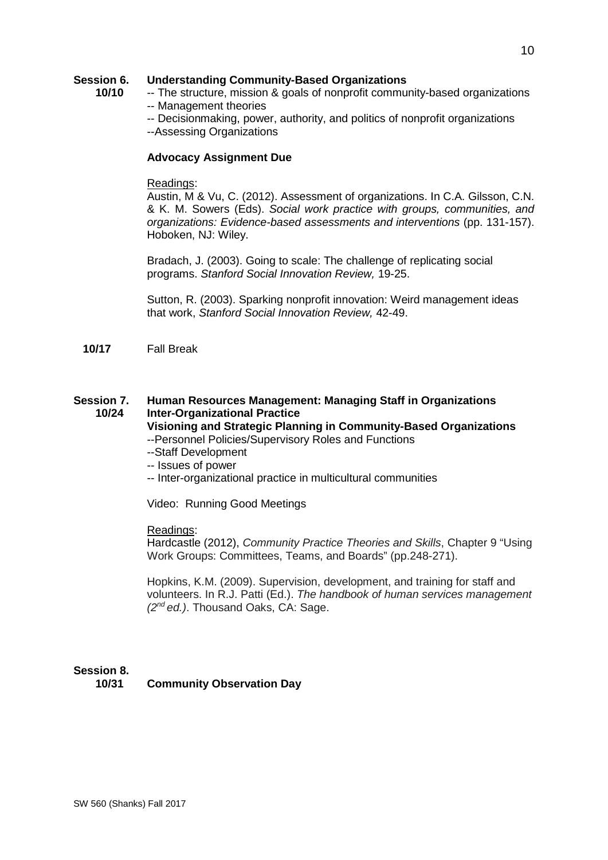# **Session 6. Understanding Community-Based Organizations**

- - **10/10** -- The structure, mission & goals of nonprofit community-based organizations -- Management theories
		- -- Decisionmaking, power, authority, and politics of nonprofit organizations --Assessing Organizations

# **Advocacy Assignment Due**

# Readings:

Austin, M & Vu, C. (2012). Assessment of organizations. In C.A. Gilsson, C.N. & K. M. Sowers (Eds). *Social work practice with groups, communities, and organizations: Evidence-based assessments and interventions* (pp. 131-157). Hoboken, NJ: Wiley.

Bradach, J. (2003). Going to scale: The challenge of replicating social programs. *Stanford Social Innovation Review,* 19-25.

Sutton, R. (2003). Sparking nonprofit innovation: Weird management ideas that work, *Stanford Social Innovation Review,* 42-49.

 **10/17** Fall Break

# **Session 7. Human Resources Management: Managing Staff in Organizations 10/24 Inter-Organizational Practice**

**Visioning and Strategic Planning in Community-Based Organizations** --Personnel Policies/Supervisory Roles and Functions

- --Staff Development
- -- Issues of power
- -- Inter-organizational practice in multicultural communities

Video: Running Good Meetings

#### Readings:

Hardcastle (2012), *Community Practice Theories and Skills*, Chapter 9 "Using Work Groups: Committees, Teams, and Boards" (pp.248-271).

Hopkins, K.M. (2009). Supervision, development, and training for staff and volunteers. In R.J. Patti (Ed.). *The handbook of human services management (2nd ed.)*. Thousand Oaks, CA: Sage.

# **Session 8.**

**10/31 Community Observation Day**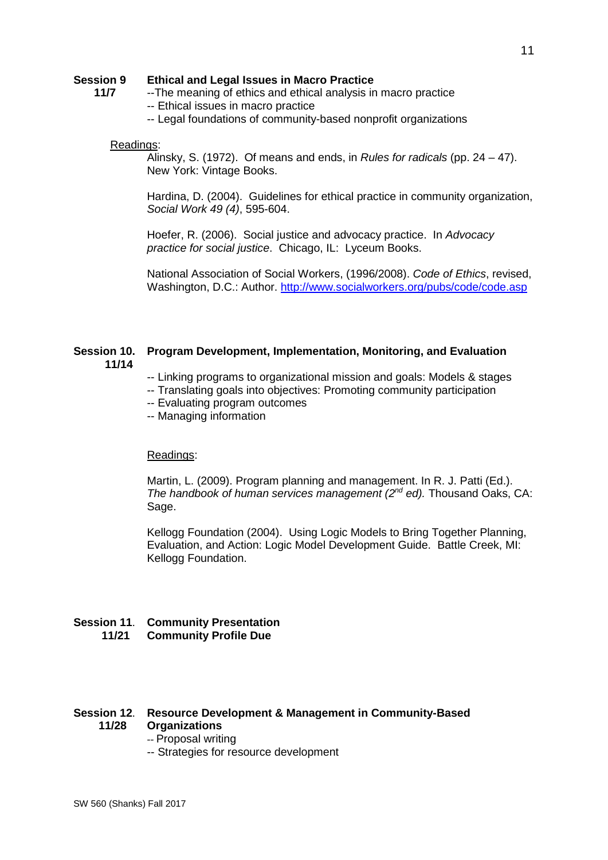### **Session 9 Ethical and Legal Issues in Macro Practice**

- **11/7** --The meaning of ethics and ethical analysis in macro practice
	- -- Ethical issues in macro practice
	- -- Legal foundations of community-based nonprofit organizations

#### Readings:

Alinsky, S. (1972). Of means and ends, in *Rules for radicals* (pp. 24 – 47). New York: Vintage Books.

Hardina, D. (2004). Guidelines for ethical practice in community organization, *Social Work 49 (4)*, 595-604.

Hoefer, R. (2006). Social justice and advocacy practice. In *Advocacy practice for social justice*. Chicago, IL: Lyceum Books.

National Association of Social Workers, (1996/2008). *Code of Ethics*, revised, Washington, D.C.: Author.<http://www.socialworkers.org/pubs/code/code.asp>

# **Session 10. Program Development, Implementation, Monitoring, and Evaluation 11/14**

- -- Linking programs to organizational mission and goals: Models & stages
- -- Translating goals into objectives: Promoting community participation
- -- Evaluating program outcomes
- -- Managing information

#### Readings:

Martin, L. (2009). Program planning and management. In R. J. Patti (Ed.). *The handbook of human services management (2nd ed).* Thousand Oaks, CA: Sage.

Kellogg Foundation (2004). Using Logic Models to Bring Together Planning, Evaluation, and Action: Logic Model Development Guide. Battle Creek, MI: Kellogg Foundation.

#### **Session 11**. **Community Presentation 11/21 Community Profile Due**

# **Session 12**. **Resource Development & Management in Community-Based 11/28 Organizations**

- -- Proposal writing
- -- Strategies for resource development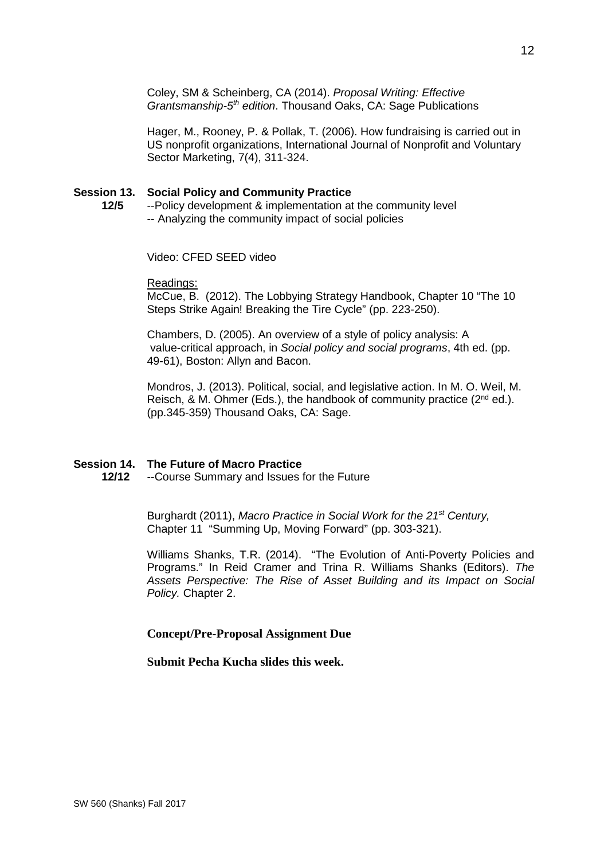Coley, SM & Scheinberg, CA (2014). *Proposal Writing: Effective Grantsmanship-5th edition*. Thousand Oaks, CA: Sage Publications

Hager, M., Rooney, P. & Pollak, T. (2006). How fundraising is carried out in US nonprofit organizations, International Journal of Nonprofit and Voluntary Sector Marketing, 7(4), 311-324.

# **Session 13. Social Policy and Community Practice**

 **12/5** --Policy development & implementation at the community level -- Analyzing the community impact of social policies

Video: CFED SEED video

Readings:

McCue, B. (2012). The Lobbying Strategy Handbook, Chapter 10 "The 10 Steps Strike Again! Breaking the Tire Cycle" (pp. 223-250).

Chambers, D. (2005). An overview of a style of policy analysis: A value-critical approach, in *Social policy and social programs*, 4th ed. (pp. 49-61), Boston: Allyn and Bacon.

Mondros, J. (2013). Political, social, and legislative action. In M. O. Weil, M. Reisch, & M. Ohmer (Eds.), the handbook of community practice  $(2^{nd}$  ed.). (pp.345-359) Thousand Oaks, CA: Sage.

# **Session 14. The Future of Macro Practice**

 **12/12** --Course Summary and Issues for the Future

Burghardt (2011), *Macro Practice in Social Work for the 21st Century,*  Chapter 11 "Summing Up, Moving Forward" (pp. 303-321).

Williams Shanks, T.R. (2014). "The Evolution of Anti-Poverty Policies and Programs." In Reid Cramer and Trina R. Williams Shanks (Editors). *The Assets Perspective: The Rise of Asset Building and its Impact on Social Policy.* Chapter 2.

#### **Concept/Pre-Proposal Assignment Due**

**Submit Pecha Kucha slides this week.**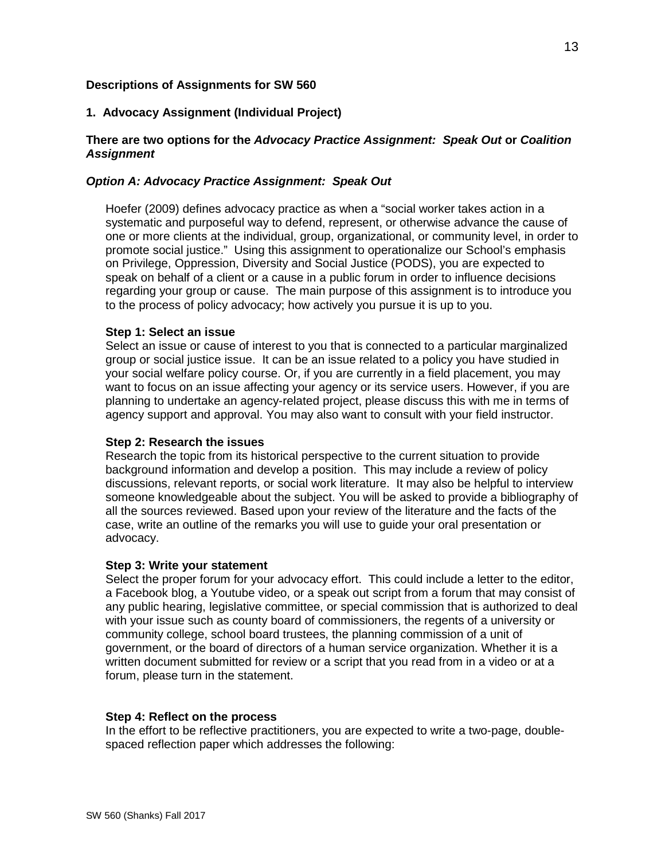# **Descriptions of Assignments for SW 560**

# **1. Advocacy Assignment (Individual Project)**

# **There are two options for the** *Advocacy Practice Assignment: Speak Out* **or** *Coalition Assignment*

# *Option A: Advocacy Practice Assignment: Speak Out*

Hoefer (2009) defines advocacy practice as when a "social worker takes action in a systematic and purposeful way to defend, represent, or otherwise advance the cause of one or more clients at the individual, group, organizational, or community level, in order to promote social justice." Using this assignment to operationalize our School's emphasis on Privilege, Oppression, Diversity and Social Justice (PODS), you are expected to speak on behalf of a client or a cause in a public forum in order to influence decisions regarding your group or cause. The main purpose of this assignment is to introduce you to the process of policy advocacy; how actively you pursue it is up to you.

#### **Step 1: Select an issue**

Select an issue or cause of interest to you that is connected to a particular marginalized group or social justice issue. It can be an issue related to a policy you have studied in your social welfare policy course. Or, if you are currently in a field placement, you may want to focus on an issue affecting your agency or its service users. However, if you are planning to undertake an agency-related project, please discuss this with me in terms of agency support and approval. You may also want to consult with your field instructor.

### **Step 2: Research the issues**

Research the topic from its historical perspective to the current situation to provide background information and develop a position. This may include a review of policy discussions, relevant reports, or social work literature. It may also be helpful to interview someone knowledgeable about the subject. You will be asked to provide a bibliography of all the sources reviewed. Based upon your review of the literature and the facts of the case, write an outline of the remarks you will use to guide your oral presentation or advocacy.

#### **Step 3: Write your statement**

Select the proper forum for your advocacy effort. This could include a letter to the editor, a Facebook blog, a Youtube video, or a speak out script from a forum that may consist of any public hearing, legislative committee, or special commission that is authorized to deal with your issue such as county board of commissioners, the regents of a university or community college, school board trustees, the planning commission of a unit of government, or the board of directors of a human service organization. Whether it is a written document submitted for review or a script that you read from in a video or at a forum, please turn in the statement.

#### **Step 4: Reflect on the process**

In the effort to be reflective practitioners, you are expected to write a two-page, doublespaced reflection paper which addresses the following: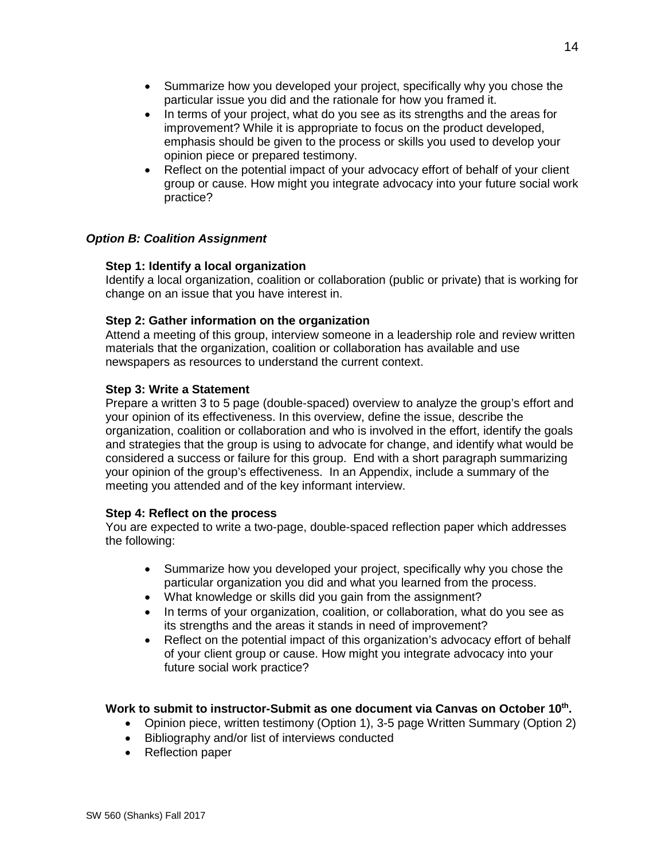- Summarize how you developed your project, specifically why you chose the particular issue you did and the rationale for how you framed it.
- In terms of your project, what do you see as its strengths and the areas for improvement? While it is appropriate to focus on the product developed, emphasis should be given to the process or skills you used to develop your opinion piece or prepared testimony.
- Reflect on the potential impact of your advocacy effort of behalf of your client group or cause. How might you integrate advocacy into your future social work practice?

# *Option B: Coalition Assignment*

# **Step 1: Identify a local organization**

Identify a local organization, coalition or collaboration (public or private) that is working for change on an issue that you have interest in.

# **Step 2: Gather information on the organization**

Attend a meeting of this group, interview someone in a leadership role and review written materials that the organization, coalition or collaboration has available and use newspapers as resources to understand the current context.

# **Step 3: Write a Statement**

Prepare a written 3 to 5 page (double-spaced) overview to analyze the group's effort and your opinion of its effectiveness. In this overview, define the issue, describe the organization, coalition or collaboration and who is involved in the effort, identify the goals and strategies that the group is using to advocate for change, and identify what would be considered a success or failure for this group. End with a short paragraph summarizing your opinion of the group's effectiveness. In an Appendix, include a summary of the meeting you attended and of the key informant interview.

# **Step 4: Reflect on the process**

You are expected to write a two-page, double-spaced reflection paper which addresses the following:

- Summarize how you developed your project, specifically why you chose the particular organization you did and what you learned from the process.
- What knowledge or skills did you gain from the assignment?
- In terms of your organization, coalition, or collaboration, what do you see as its strengths and the areas it stands in need of improvement?
- Reflect on the potential impact of this organization's advocacy effort of behalf of your client group or cause. How might you integrate advocacy into your future social work practice?

### **Work to submit to instructor-Submit as one document via Canvas on October 10th.**

- Opinion piece, written testimony (Option 1), 3-5 page Written Summary (Option 2)
- Bibliography and/or list of interviews conducted
- Reflection paper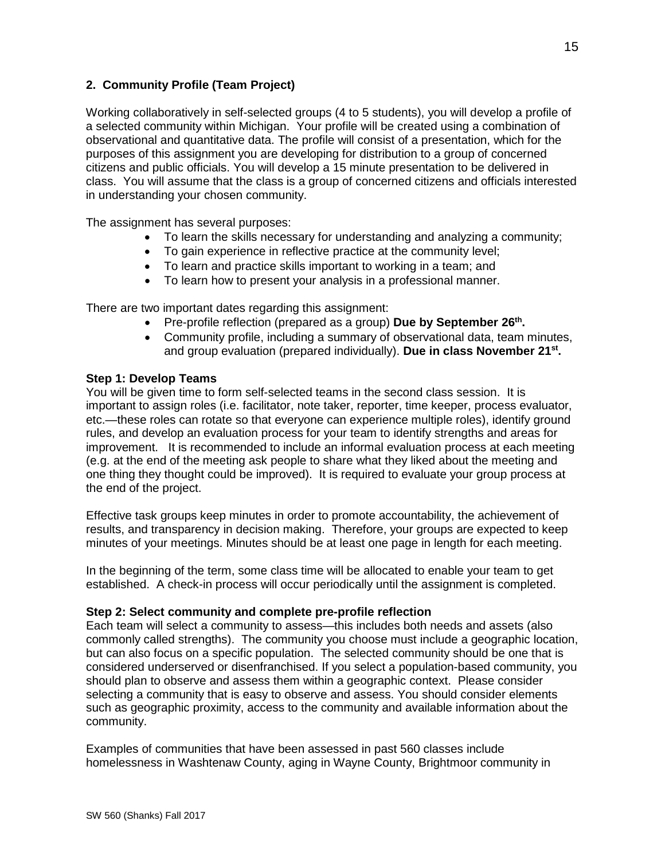# **2. Community Profile (Team Project)**

Working collaboratively in self-selected groups (4 to 5 students), you will develop a profile of a selected community within Michigan. Your profile will be created using a combination of observational and quantitative data. The profile will consist of a presentation, which for the purposes of this assignment you are developing for distribution to a group of concerned citizens and public officials. You will develop a 15 minute presentation to be delivered in class. You will assume that the class is a group of concerned citizens and officials interested in understanding your chosen community.

The assignment has several purposes:

- To learn the skills necessary for understanding and analyzing a community;
- To gain experience in reflective practice at the community level;
- To learn and practice skills important to working in a team; and
- To learn how to present your analysis in a professional manner.

There are two important dates regarding this assignment:

- Pre-profile reflection (prepared as a group) **Due by September 26th.**
- Community profile, including a summary of observational data, team minutes, and group evaluation (prepared individually). **Due in class November 21st.**

# **Step 1: Develop Teams**

You will be given time to form self-selected teams in the second class session. It is important to assign roles (i.e. facilitator, note taker, reporter, time keeper, process evaluator, etc.—these roles can rotate so that everyone can experience multiple roles), identify ground rules, and develop an evaluation process for your team to identify strengths and areas for improvement. It is recommended to include an informal evaluation process at each meeting (e.g. at the end of the meeting ask people to share what they liked about the meeting and one thing they thought could be improved). It is required to evaluate your group process at the end of the project.

Effective task groups keep minutes in order to promote accountability, the achievement of results, and transparency in decision making. Therefore, your groups are expected to keep minutes of your meetings. Minutes should be at least one page in length for each meeting.

In the beginning of the term, some class time will be allocated to enable your team to get established. A check-in process will occur periodically until the assignment is completed.

### **Step 2: Select community and complete pre-profile reflection**

Each team will select a community to assess—this includes both needs and assets (also commonly called strengths). The community you choose must include a geographic location, but can also focus on a specific population. The selected community should be one that is considered underserved or disenfranchised. If you select a population-based community, you should plan to observe and assess them within a geographic context. Please consider selecting a community that is easy to observe and assess. You should consider elements such as geographic proximity, access to the community and available information about the community.

Examples of communities that have been assessed in past 560 classes include homelessness in Washtenaw County, aging in Wayne County, Brightmoor community in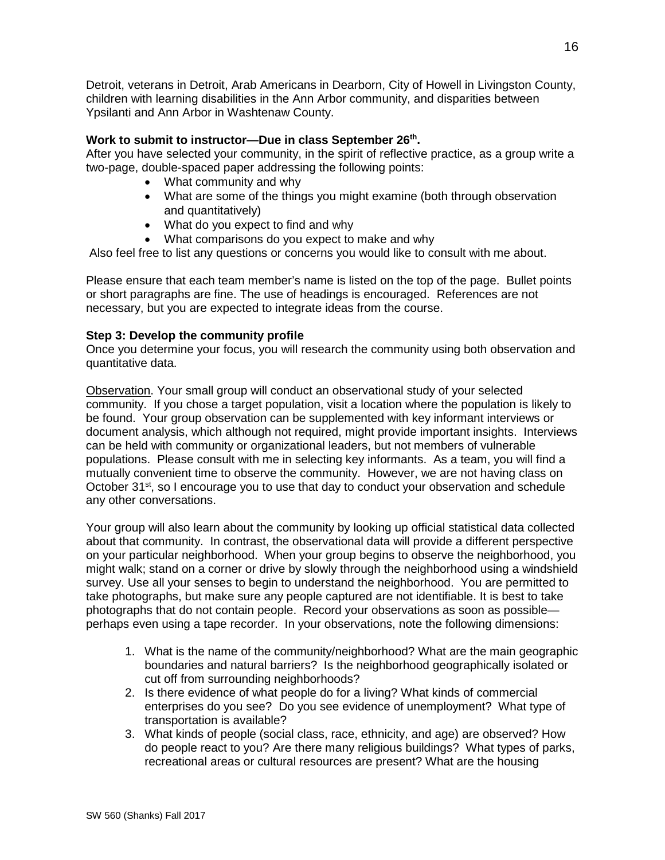Detroit, veterans in Detroit, Arab Americans in Dearborn, City of Howell in Livingston County, children with learning disabilities in the Ann Arbor community, and disparities between Ypsilanti and Ann Arbor in Washtenaw County.

# Work to submit to instructor—Due in class September 26<sup>th</sup>.

After you have selected your community, in the spirit of reflective practice, as a group write a two-page, double-spaced paper addressing the following points:

- What community and why
- What are some of the things you might examine (both through observation and quantitatively)
- What do you expect to find and why
- What comparisons do you expect to make and why

Also feel free to list any questions or concerns you would like to consult with me about.

Please ensure that each team member's name is listed on the top of the page. Bullet points or short paragraphs are fine. The use of headings is encouraged. References are not necessary, but you are expected to integrate ideas from the course.

# **Step 3: Develop the community profile**

Once you determine your focus, you will research the community using both observation and quantitative data.

Observation. Your small group will conduct an observational study of your selected community. If you chose a target population, visit a location where the population is likely to be found. Your group observation can be supplemented with key informant interviews or document analysis, which although not required, might provide important insights. Interviews can be held with community or organizational leaders, but not members of vulnerable populations. Please consult with me in selecting key informants. As a team, you will find a mutually convenient time to observe the community. However, we are not having class on October 31<sup>st</sup>, so I encourage you to use that day to conduct your observation and schedule any other conversations.

Your group will also learn about the community by looking up official statistical data collected about that community. In contrast, the observational data will provide a different perspective on your particular neighborhood. When your group begins to observe the neighborhood, you might walk; stand on a corner or drive by slowly through the neighborhood using a windshield survey. Use all your senses to begin to understand the neighborhood. You are permitted to take photographs, but make sure any people captured are not identifiable. It is best to take photographs that do not contain people. Record your observations as soon as possible perhaps even using a tape recorder. In your observations, note the following dimensions:

- 1. What is the name of the community/neighborhood? What are the main geographic boundaries and natural barriers? Is the neighborhood geographically isolated or cut off from surrounding neighborhoods?
- 2. Is there evidence of what people do for a living? What kinds of commercial enterprises do you see? Do you see evidence of unemployment? What type of transportation is available?
- 3. What kinds of people (social class, race, ethnicity, and age) are observed? How do people react to you? Are there many religious buildings? What types of parks, recreational areas or cultural resources are present? What are the housing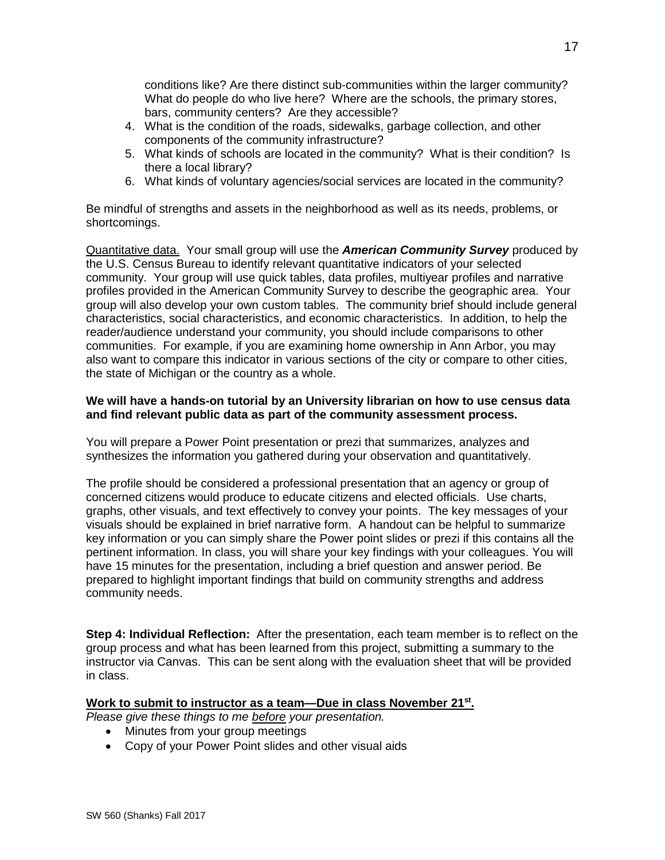conditions like? Are there distinct sub-communities within the larger community? What do people do who live here? Where are the schools, the primary stores, bars, community centers? Are they accessible?

- 4. What is the condition of the roads, sidewalks, garbage collection, and other components of the community infrastructure?
- 5. What kinds of schools are located in the community? What is their condition? Is there a local library?
- 6. What kinds of voluntary agencies/social services are located in the community?

Be mindful of strengths and assets in the neighborhood as well as its needs, problems, or shortcomings.

Quantitative data. Your small group will use the *American Community Survey* produced by the U.S. Census Bureau to identify relevant quantitative indicators of your selected community. Your group will use quick tables, data profiles, multiyear profiles and narrative profiles provided in the American Community Survey to describe the geographic area. Your group will also develop your own custom tables. The community brief should include general characteristics, social characteristics, and economic characteristics. In addition, to help the reader/audience understand your community, you should include comparisons to other communities. For example, if you are examining home ownership in Ann Arbor, you may also want to compare this indicator in various sections of the city or compare to other cities, the state of Michigan or the country as a whole.

# **We will have a hands-on tutorial by an University librarian on how to use census data and find relevant public data as part of the community assessment process.**

You will prepare a Power Point presentation or prezi that summarizes, analyzes and synthesizes the information you gathered during your observation and quantitatively.

The profile should be considered a professional presentation that an agency or group of concerned citizens would produce to educate citizens and elected officials. Use charts, graphs, other visuals, and text effectively to convey your points. The key messages of your visuals should be explained in brief narrative form. A handout can be helpful to summarize key information or you can simply share the Power point slides or prezi if this contains all the pertinent information. In class, you will share your key findings with your colleagues. You will have 15 minutes for the presentation, including a brief question and answer period. Be prepared to highlight important findings that build on community strengths and address community needs.

**Step 4: Individual Reflection:** After the presentation, each team member is to reflect on the group process and what has been learned from this project, submitting a summary to the instructor via Canvas. This can be sent along with the evaluation sheet that will be provided in class.

### **Work to submit to instructor as a team—Due in class November 21st.**

*Please give these things to me before your presentation.*

- Minutes from your group meetings
- Copy of your Power Point slides and other visual aids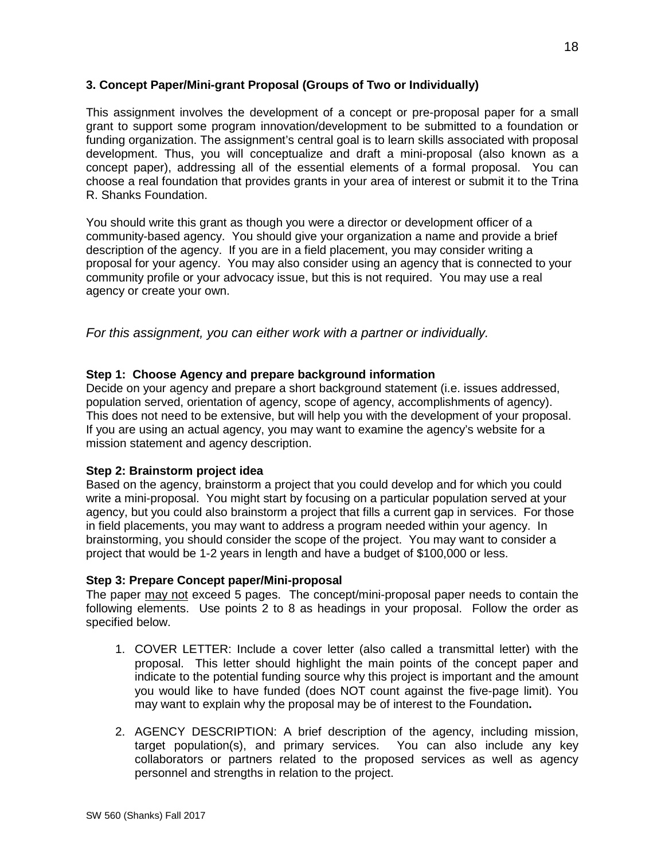# **3. Concept Paper/Mini-grant Proposal (Groups of Two or Individually)**

This assignment involves the development of a concept or pre-proposal paper for a small grant to support some program innovation/development to be submitted to a foundation or funding organization. The assignment's central goal is to learn skills associated with proposal development. Thus, you will conceptualize and draft a mini-proposal (also known as a concept paper), addressing all of the essential elements of a formal proposal. You can choose a real foundation that provides grants in your area of interest or submit it to the Trina R. Shanks Foundation.

You should write this grant as though you were a director or development officer of a community-based agency. You should give your organization a name and provide a brief description of the agency. If you are in a field placement, you may consider writing a proposal for your agency. You may also consider using an agency that is connected to your community profile or your advocacy issue, but this is not required. You may use a real agency or create your own.

*For this assignment, you can either work with a partner or individually.* 

# **Step 1: Choose Agency and prepare background information**

Decide on your agency and prepare a short background statement (i.e. issues addressed, population served, orientation of agency, scope of agency, accomplishments of agency). This does not need to be extensive, but will help you with the development of your proposal. If you are using an actual agency, you may want to examine the agency's website for a mission statement and agency description.

# **Step 2: Brainstorm project idea**

Based on the agency, brainstorm a project that you could develop and for which you could write a mini-proposal. You might start by focusing on a particular population served at your agency, but you could also brainstorm a project that fills a current gap in services. For those in field placements, you may want to address a program needed within your agency. In brainstorming, you should consider the scope of the project. You may want to consider a project that would be 1-2 years in length and have a budget of \$100,000 or less.

# **Step 3: Prepare Concept paper/Mini-proposal**

The paper may not exceed 5 pages. The concept/mini-proposal paper needs to contain the following elements. Use points 2 to 8 as headings in your proposal. Follow the order as specified below.

- 1. COVER LETTER: Include a cover letter (also called a transmittal letter) with the proposal. This letter should highlight the main points of the concept paper and indicate to the potential funding source why this project is important and the amount you would like to have funded (does NOT count against the five-page limit). You may want to explain why the proposal may be of interest to the Foundation**.**
- 2. AGENCY DESCRIPTION: A brief description of the agency, including mission, target population(s), and primary services. You can also include any key collaborators or partners related to the proposed services as well as agency personnel and strengths in relation to the project.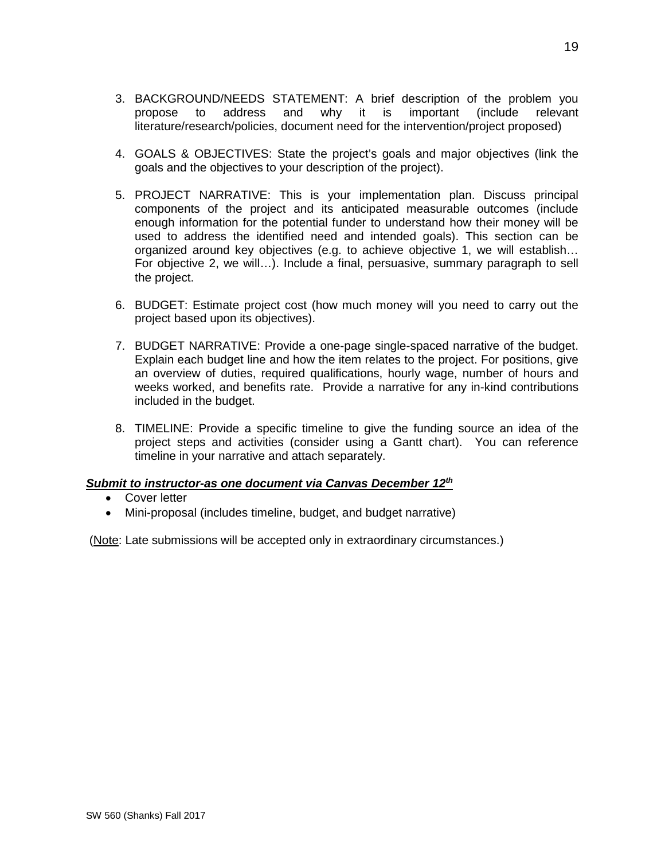- 3. BACKGROUND/NEEDS STATEMENT: A brief description of the problem you propose to address and why it is important (include relevant literature/research/policies, document need for the intervention/project proposed)
- 4. GOALS & OBJECTIVES: State the project's goals and major objectives (link the goals and the objectives to your description of the project).
- 5. PROJECT NARRATIVE: This is your implementation plan. Discuss principal components of the project and its anticipated measurable outcomes (include enough information for the potential funder to understand how their money will be used to address the identified need and intended goals). This section can be organized around key objectives (e.g. to achieve objective 1, we will establish… For objective 2, we will…). Include a final, persuasive, summary paragraph to sell the project.
- 6. BUDGET: Estimate project cost (how much money will you need to carry out the project based upon its objectives).
- 7. BUDGET NARRATIVE: Provide a one-page single-spaced narrative of the budget. Explain each budget line and how the item relates to the project. For positions, give an overview of duties, required qualifications, hourly wage, number of hours and weeks worked, and benefits rate. Provide a narrative for any in-kind contributions included in the budget.
- 8. TIMELINE: Provide a specific timeline to give the funding source an idea of the project steps and activities (consider using a Gantt chart). You can reference timeline in your narrative and attach separately.

# *Submit to instructor-as one document via Canvas December 12th*

- Cover letter
- Mini-proposal (includes timeline, budget, and budget narrative)

(Note: Late submissions will be accepted only in extraordinary circumstances.)